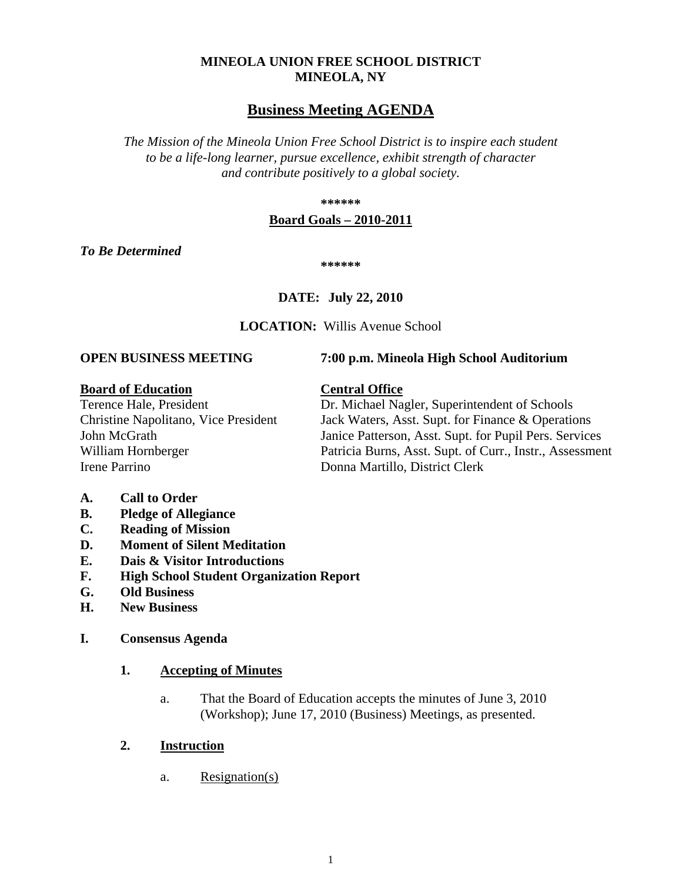## **MINEOLA UNION FREE SCHOOL DISTRICT MINEOLA, NY**

# **Business Meeting AGENDA**

*The Mission of the Mineola Union Free School District is to inspire each student to be a life-long learner, pursue excellence, exhibit strength of character and contribute positively to a global society.*

**\*\*\*\*\*\***

## **Board Goals – 2010-2011**

*To Be Determined*

**\*\*\*\*\*\***

# **DATE: July 22, 2010**

**LOCATION:** Willis Avenue School

#### **OPEN BUSINESS MEETING 7:00 p.m. Mineola High School Auditorium**

## **Board of Education Central Office**

Irene Parrino **Donna Martillo, District Clerk** 

Terence Hale, President Dr. Michael Nagler, Superintendent of Schools Christine Napolitano, Vice President Jack Waters, Asst. Supt. for Finance & Operations John McGrath Janice Patterson, Asst. Supt. for Pupil Pers. Services William Hornberger Patricia Burns, Asst. Supt. of Curr., Instr., Assessment

- **A. Call to Order**
- **B. Pledge of Allegiance**
- **C. Reading of Mission**
- **D. Moment of Silent Meditation**
- **E. Dais & Visitor Introductions**
- **F. High School Student Organization Report**
- **G. Old Business**
- **H. New Business**
- **I. Consensus Agenda**

# **1. Accepting of Minutes**

a. That the Board of Education accepts the minutes of June 3, 2010 (Workshop); June 17, 2010 (Business) Meetings, as presented.

# **2. Instruction**

a. Resignation(s)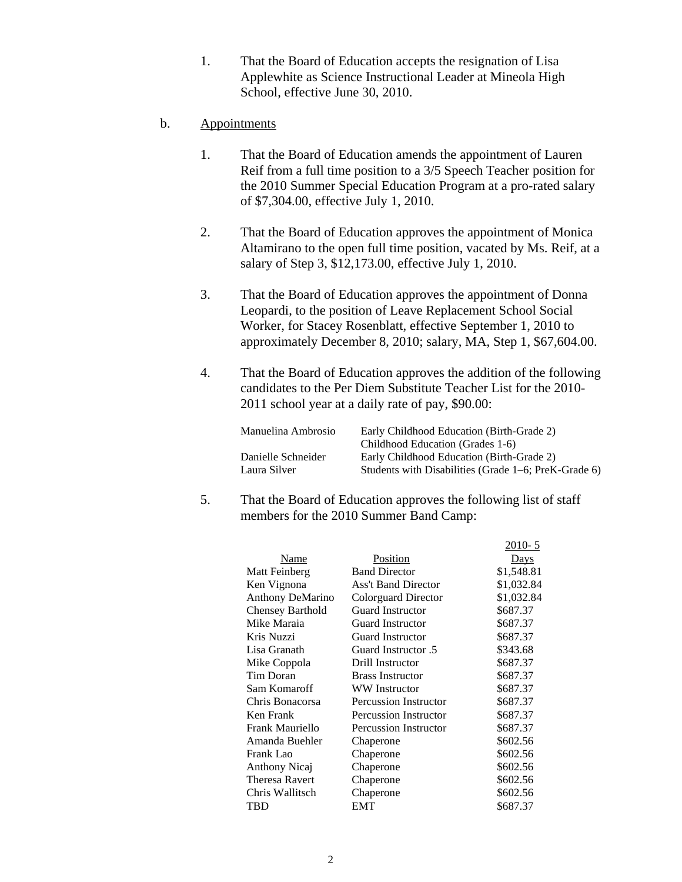- 1. That the Board of Education accepts the resignation of Lisa Applewhite as Science Instructional Leader at Mineola High School, effective June 30, 2010.
- b. Appointments
	- 1. That the Board of Education amends the appointment of Lauren Reif from a full time position to a 3/5 Speech Teacher position for the 2010 Summer Special Education Program at a pro-rated salary of \$7,304.00, effective July 1, 2010.
	- 2. That the Board of Education approves the appointment of Monica Altamirano to the open full time position, vacated by Ms. Reif, at a salary of Step 3, \$12,173.00, effective July 1, 2010.
	- 3. That the Board of Education approves the appointment of Donna Leopardi, to the position of Leave Replacement School Social Worker, for Stacey Rosenblatt, effective September 1, 2010 to approximately December 8, 2010; salary, MA, Step 1, \$67,604.00.
	- 4. That the Board of Education approves the addition of the following candidates to the Per Diem Substitute Teacher List for the 2010- 2011 school year at a daily rate of pay, \$90.00:

| Manuelina Ambrosio                 | Early Childhood Education (Birth-Grade 2)<br>Childhood Education (Grades 1-6)                     |
|------------------------------------|---------------------------------------------------------------------------------------------------|
| Danielle Schneider<br>Laura Silver | Early Childhood Education (Birth-Grade 2)<br>Students with Disabilities (Grade 1–6; PreK-Grade 6) |
|                                    |                                                                                                   |

 $2010 - 5$ 

5. That the Board of Education approves the following list of staff members for the 2010 Summer Band Camp:

|                  |                              | $2010 - 3$  |
|------------------|------------------------------|-------------|
| Name             | Position                     | <b>Days</b> |
| Matt Feinberg    | <b>Band Director</b>         | \$1,548.81  |
| Ken Vignona      | <b>Ass't Band Director</b>   | \$1,032.84  |
| Anthony DeMarino | Colorguard Director          | \$1,032.84  |
| Chensey Barthold | <b>Guard Instructor</b>      | \$687.37    |
| Mike Maraia      | <b>Guard Instructor</b>      | \$687.37    |
| Kris Nuzzi       | <b>Guard Instructor</b>      | \$687.37    |
| Lisa Granath     | 5. Guard Instructor          | \$343.68    |
| Mike Coppola     | Drill Instructor             | \$687.37    |
| Tim Doran        | <b>Brass Instructor</b>      | \$687.37    |
| Sam Komaroff     | <b>WW</b> Instructor         | \$687.37    |
| Chris Bonacorsa  | <b>Percussion Instructor</b> | \$687.37    |
| Ken Frank        | <b>Percussion Instructor</b> | \$687.37    |
| Frank Mauriello  | <b>Percussion Instructor</b> | \$687.37    |
| Amanda Buehler   | Chaperone                    | \$602.56    |
| Frank Lao        | Chaperone                    | \$602.56    |
| Anthony Nicaj    | Chaperone                    | \$602.56    |
| Theresa Ravert   | Chaperone                    | \$602.56    |
| Chris Wallitsch  | Chaperone                    | \$602.56    |
| TBD              | <b>EMT</b>                   | \$687.37    |
|                  |                              |             |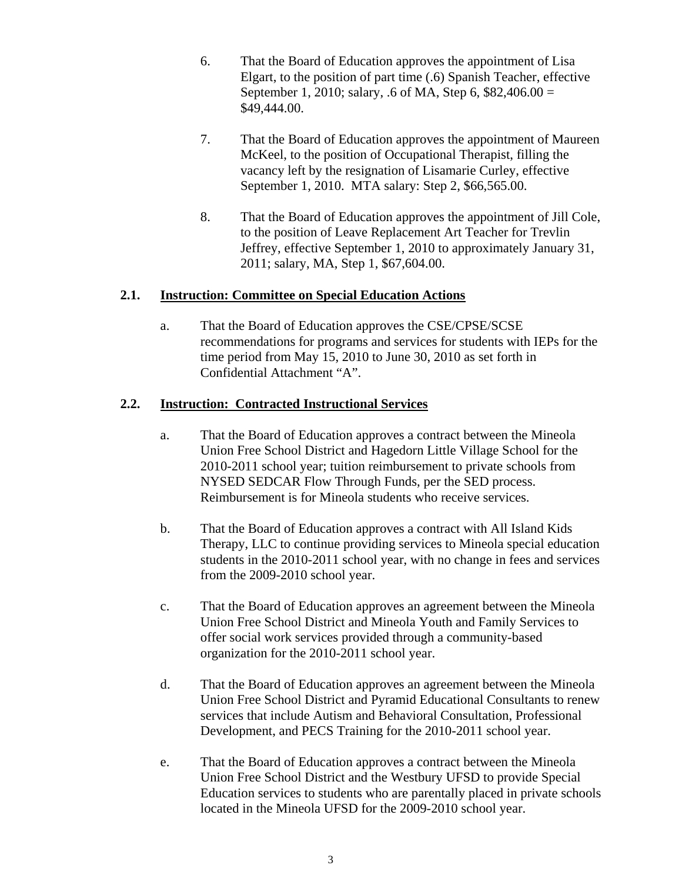- 6. That the Board of Education approves the appointment of Lisa Elgart, to the position of part time (.6) Spanish Teacher, effective September 1, 2010; salary, .6 of MA, Step 6, \$82,406.00 = \$49,444.00.
- 7. That the Board of Education approves the appointment of Maureen McKeel, to the position of Occupational Therapist, filling the vacancy left by the resignation of Lisamarie Curley, effective September 1, 2010. MTA salary: Step 2, \$66,565.00.
- 8. That the Board of Education approves the appointment of Jill Cole, to the position of Leave Replacement Art Teacher for Trevlin Jeffrey, effective September 1, 2010 to approximately January 31, 2011; salary, MA, Step 1, \$67,604.00.

# **2.1. Instruction: Committee on Special Education Actions**

a. That the Board of Education approves the CSE/CPSE/SCSE recommendations for programs and services for students with IEPs for the time period from May 15, 2010 to June 30, 2010 as set forth in Confidential Attachment "A".

# **2.2. Instruction: Contracted Instructional Services**

- a. That the Board of Education approves a contract between the Mineola Union Free School District and Hagedorn Little Village School for the 2010-2011 school year; tuition reimbursement to private schools from NYSED SEDCAR Flow Through Funds, per the SED process. Reimbursement is for Mineola students who receive services.
- b. That the Board of Education approves a contract with All Island Kids Therapy, LLC to continue providing services to Mineola special education students in the 2010-2011 school year, with no change in fees and services from the 2009-2010 school year.
- c. That the Board of Education approves an agreement between the Mineola Union Free School District and Mineola Youth and Family Services to offer social work services provided through a community-based organization for the 2010-2011 school year.
- d. That the Board of Education approves an agreement between the Mineola Union Free School District and Pyramid Educational Consultants to renew services that include Autism and Behavioral Consultation, Professional Development, and PECS Training for the 2010-2011 school year.
- e. That the Board of Education approves a contract between the Mineola Union Free School District and the Westbury UFSD to provide Special Education services to students who are parentally placed in private schools located in the Mineola UFSD for the 2009-2010 school year.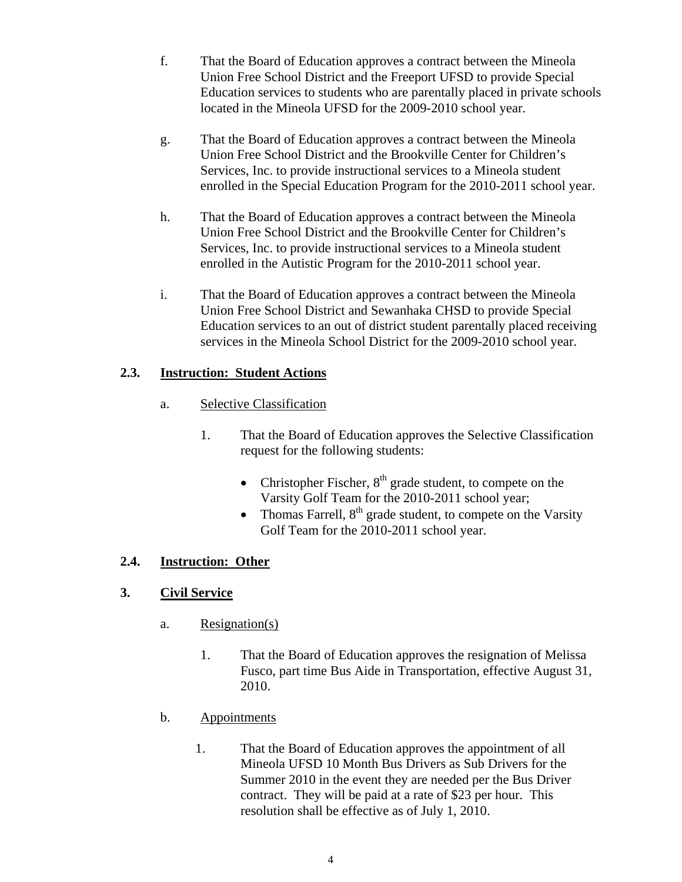- f. That the Board of Education approves a contract between the Mineola Union Free School District and the Freeport UFSD to provide Special Education services to students who are parentally placed in private schools located in the Mineola UFSD for the 2009-2010 school year.
- g. That the Board of Education approves a contract between the Mineola Union Free School District and the Brookville Center for Children's Services, Inc. to provide instructional services to a Mineola student enrolled in the Special Education Program for the 2010-2011 school year.
- h. That the Board of Education approves a contract between the Mineola Union Free School District and the Brookville Center for Children's Services, Inc. to provide instructional services to a Mineola student enrolled in the Autistic Program for the 2010-2011 school year.
- i. That the Board of Education approves a contract between the Mineola Union Free School District and Sewanhaka CHSD to provide Special Education services to an out of district student parentally placed receiving services in the Mineola School District for the 2009-2010 school year.

# **2.3. Instruction: Student Actions**

- a. Selective Classification
	- 1. That the Board of Education approves the Selective Classification request for the following students:
		- Christopher Fischer,  $8<sup>th</sup>$  grade student, to compete on the Varsity Golf Team for the 2010-2011 school year;
		- Thomas Farrell,  $8<sup>th</sup>$  grade student, to compete on the Varsity Golf Team for the 2010-2011 school year.

# **2.4. Instruction: Other**

# **3. Civil Service**

- a. Resignation(s)
	- 1. That the Board of Education approves the resignation of Melissa Fusco, part time Bus Aide in Transportation, effective August 31, 2010.
- b. Appointments
	- 1. That the Board of Education approves the appointment of all Mineola UFSD 10 Month Bus Drivers as Sub Drivers for the Summer 2010 in the event they are needed per the Bus Driver contract. They will be paid at a rate of \$23 per hour. This resolution shall be effective as of July 1, 2010.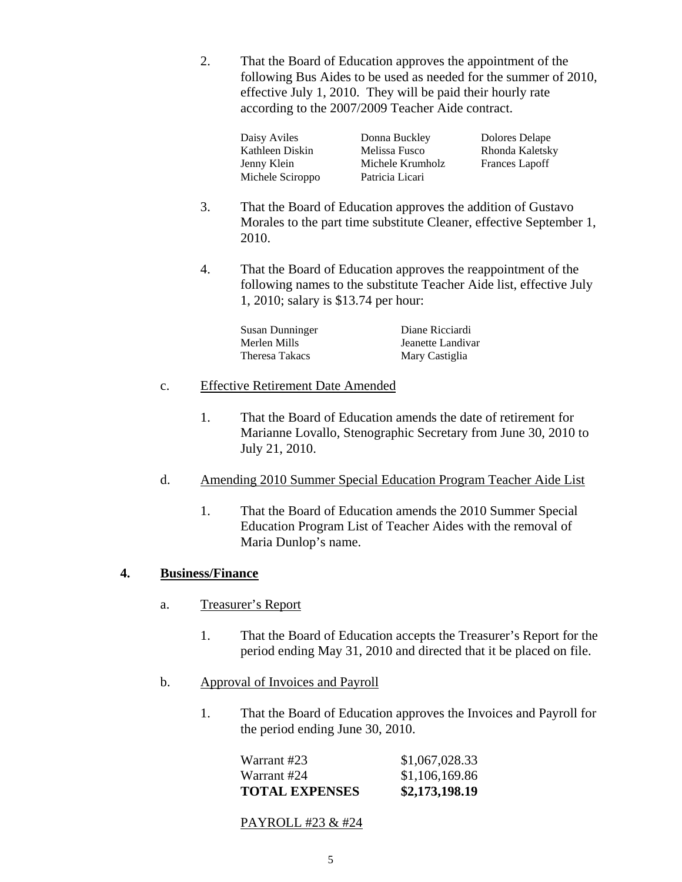2. That the Board of Education approves the appointment of the following Bus Aides to be used as needed for the summer of 2010, effective July 1, 2010. They will be paid their hourly rate according to the 2007/2009 Teacher Aide contract.

| Daisy Aviles     |
|------------------|
| Kathleen Diskin  |
| Jenny Klein      |
| Michele Sciroppo |

Donna Buckley Dolores Delape Melissa Fusco Rhonda Kaletsky Michele Krumholz Frances Lapoff Patricia Licari

- 3. That the Board of Education approves the addition of Gustavo Morales to the part time substitute Cleaner, effective September 1, 2010.
- 4. That the Board of Education approves the reappointment of the following names to the substitute Teacher Aide list, effective July 1, 2010; salary is \$13.74 per hour:

| Susan Dunninger | Diane Ricciardi   |
|-----------------|-------------------|
| Merlen Mills    | Jeanette Landivar |
| Theresa Takacs  | Mary Castiglia    |

## c. Effective Retirement Date Amended

- 1. That the Board of Education amends the date of retirement for Marianne Lovallo, Stenographic Secretary from June 30, 2010 to July 21, 2010.
- d. Amending 2010 Summer Special Education Program Teacher Aide List
	- 1. That the Board of Education amends the 2010 Summer Special Education Program List of Teacher Aides with the removal of Maria Dunlop's name.

# **4. Business/Finance**

- a. Treasurer's Report
	- 1. That the Board of Education accepts the Treasurer's Report for the period ending May 31, 2010 and directed that it be placed on file.
- b. Approval of Invoices and Payroll
	- 1. That the Board of Education approves the Invoices and Payroll for the period ending June 30, 2010.

| <b>TOTAL EXPENSES</b> | \$2,173,198.19 |
|-----------------------|----------------|
| Warrant #24           | \$1,106,169.86 |
| Warrant #23           | \$1,067,028.33 |

## PAYROLL #23 & #24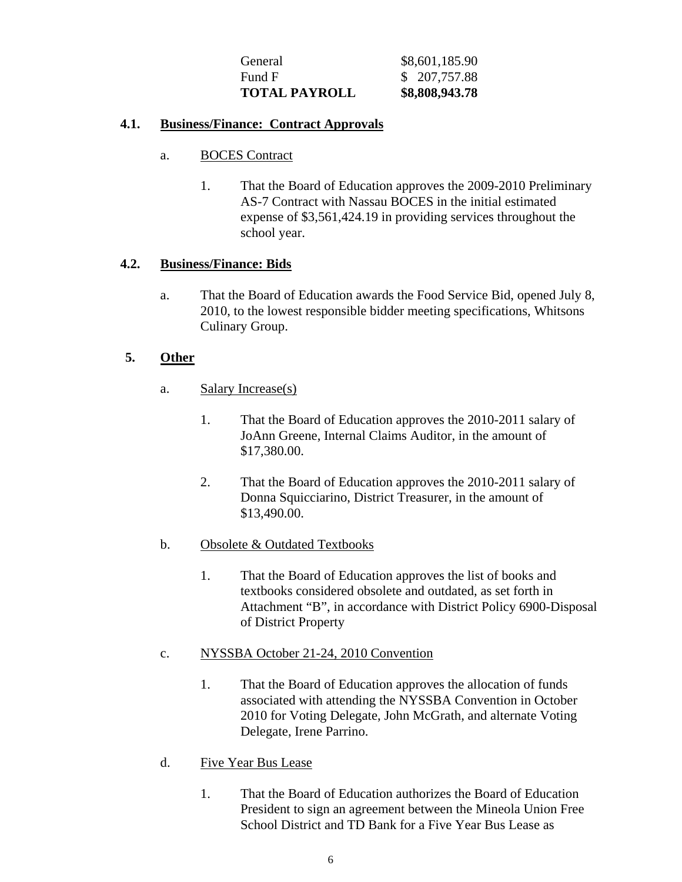| General              | \$8,601,185.90 |
|----------------------|----------------|
| Fund F               | \$207,757.88   |
| <b>TOTAL PAYROLL</b> | \$8,808,943.78 |

## **4.1. Business/Finance: Contract Approvals**

- a. BOCES Contract
	- 1. That the Board of Education approves the 2009-2010 Preliminary AS-7 Contract with Nassau BOCES in the initial estimated expense of \$3,561,424.19 in providing services throughout the school year.

## **4.2. Business/Finance: Bids**

a. That the Board of Education awards the Food Service Bid, opened July 8, 2010, to the lowest responsible bidder meeting specifications, Whitsons Culinary Group.

## **5. Other**

- a. Salary Increase(s)
	- 1. That the Board of Education approves the 2010-2011 salary of JoAnn Greene, Internal Claims Auditor, in the amount of \$17,380.00.
	- 2. That the Board of Education approves the 2010-2011 salary of Donna Squicciarino, District Treasurer, in the amount of \$13,490.00.
- b. Obsolete & Outdated Textbooks
	- 1. That the Board of Education approves the list of books and textbooks considered obsolete and outdated, as set forth in Attachment "B", in accordance with District Policy 6900-Disposal of District Property
- c. NYSSBA October 21-24, 2010 Convention
	- 1. That the Board of Education approves the allocation of funds associated with attending the NYSSBA Convention in October 2010 for Voting Delegate, John McGrath, and alternate Voting Delegate, Irene Parrino.
- d. Five Year Bus Lease
	- 1. That the Board of Education authorizes the Board of Education President to sign an agreement between the Mineola Union Free School District and TD Bank for a Five Year Bus Lease as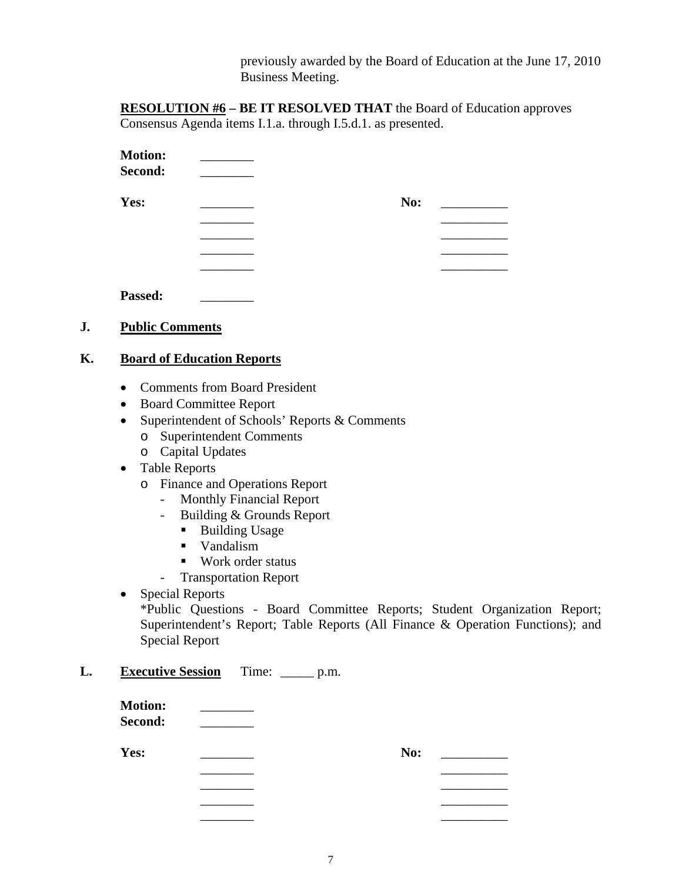previously awarded by the Board of Education at the June 17, 2010 Business Meeting.

**RESOLUTION #6 – BE IT RESOLVED THAT** the Board of Education approves Consensus Agenda items I.1.a. through I.5.d.1. as presented.

| <b>Motion:</b><br>Second: |     |  |
|---------------------------|-----|--|
| Yes:                      | No: |  |
|                           |     |  |
|                           |     |  |
|                           |     |  |
|                           |     |  |
|                           |     |  |

| <b>Passed:</b> |  |
|----------------|--|
|                |  |

# **J. Public Comments**

## **K. Board of Education Reports**

- Comments from Board President
- Board Committee Report
- Superintendent of Schools' Reports & Comments
	- o Superintendent Comments
	- o Capital Updates
- Table Reports
	- o Finance and Operations Report
		- Monthly Financial Report
		- Building & Grounds Report
			- **Building Usage**
			- **vandalism**
			- Work order status
		- Transportation Report

## • Special Reports

\*Public Questions - Board Committee Reports; Student Organization Report; Superintendent's Report; Table Reports (All Finance & Operation Functions); and Special Report

# **L. Executive Session** Time: \_\_\_\_\_ p.m.

| <b>Motion:</b><br>Second: |     |  |
|---------------------------|-----|--|
| Yes:                      | No: |  |
|                           |     |  |
|                           |     |  |
|                           |     |  |

\_\_\_\_\_\_\_\_ \_\_\_\_\_\_\_\_\_\_